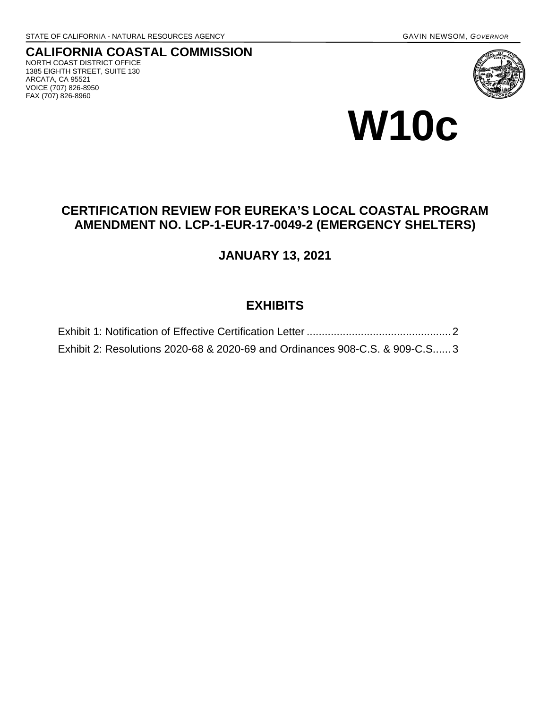### **CALIFORNIA COASTAL COMMISSION** NORTH COAST DISTRICT OFFICE 1385 EIGHTH STREET, SUITE 130 ARCATA, CA 95521 VOICE (707) 826-8950

FAX (707) 826-8960





# **CERTIFICATION REVIEW FOR EUREKA'S LOCAL COASTAL PROGRAM AMENDMENT NO. LCP-1-EUR-17-0049-2 (EMERGENCY SHELTERS)**

# **JANUARY 13, 2021**

# **EXHIBITS**

| Exhibit 2: Resolutions 2020-68 & 2020-69 and Ordinances 908-C.S. & 909-C.S 3 |  |
|------------------------------------------------------------------------------|--|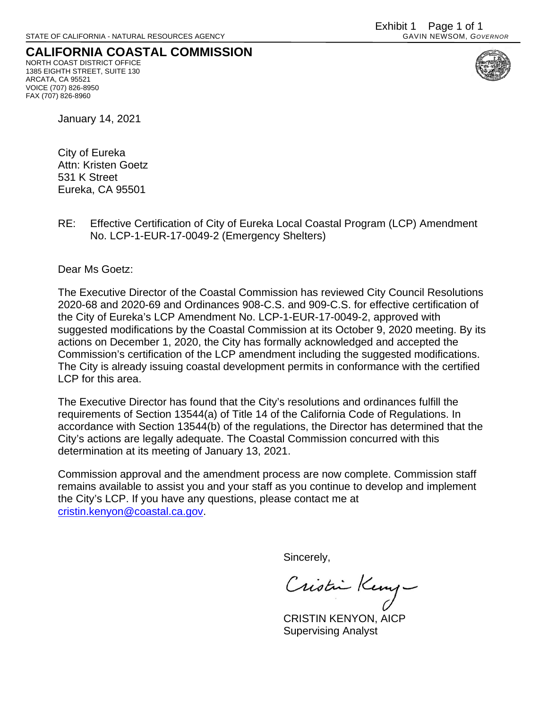## <span id="page-1-0"></span>**CALIFORNIA COASTAL COMMISSION** NORTH COAST DISTRICT OFFICE

1385 EIGHTH STREET, SUITE 130 ARCATA, CA 95521 VOICE (707) 826-8950 FAX (707) 826-8960



January 14, 2021

City of Eureka Attn: Kristen Goetz 531 K Street Eureka, CA 95501

RE: Effective Certification of City of Eureka Local Coastal Program (LCP) Amendment No. LCP-1-EUR-17-0049-2 (Emergency Shelters)

Dear Ms Goetz:

The Executive Director of the Coastal Commission has reviewed City Council Resolutions 2020-68 and 2020-69 and Ordinances 908-C.S. and 909-C.S. for effective certification of the City of Eureka's LCP Amendment No. LCP-1-EUR-17-0049-2, approved with suggested modifications by the Coastal Commission at its October 9, 2020 meeting. By its actions on December 1, 2020, the City has formally acknowledged and accepted the Commission's certification of the LCP amendment including the suggested modifications. The City is already issuing coastal development permits in conformance with the certified LCP for this area.

The Executive Director has found that the City's resolutions and ordinances fulfill the requirements of Section 13544(a) of Title 14 of the California Code of Regulations. In accordance with Section 13544(b) of the regulations, the Director has determined that the City's actions are legally adequate. The Coastal Commission concurred with this determination at its meeting of January 13, 2021.

Commission approval and the amendment process are now complete. Commission staff remains available to assist you and your staff as you continue to develop and implement the City's LCP. If you have any questions, please contact me at [cristin.kenyon@coastal.ca.gov.](mailto:cristin.kenyon@coastal.ca.gov)

Sincerely,

Cristin Keny

CRISTIN KENYON, AICP Supervising Analyst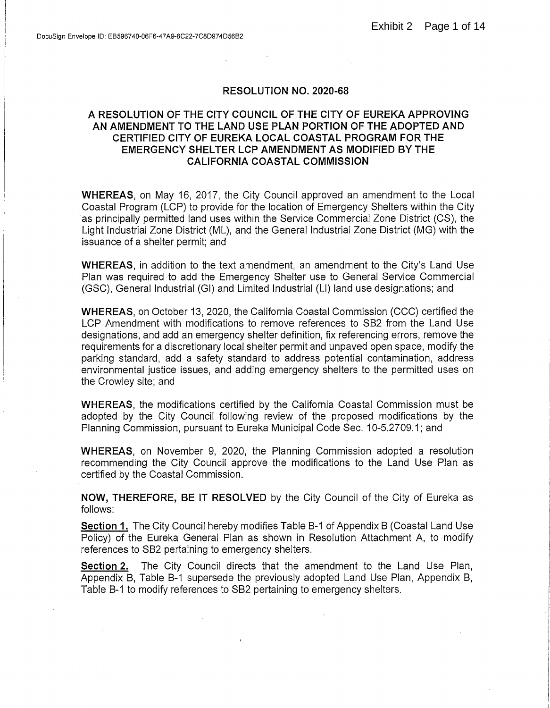### **RESOLUTION NO. 2020-68**

### <span id="page-2-0"></span>A RESOLUTION OF THE CITY COUNCIL OF THE CITY OF EUREKA APPROVING AN AMENDMENT TO THE LAND USE PLAN PORTION OF THE ADOPTED AND CERTIFIED CITY OF EUREKA LOCAL COASTAL PROGRAM FOR THE **EMERGENCY SHELTER LCP AMENDMENT AS MODIFIED BY THE CALIFORNIA COASTAL COMMISSION**

**WHEREAS**, on May 16, 2017, the City Council approved an amendment to the Local Coastal Program (LCP) to provide for the location of Emergency Shelters within the City as principally permitted land uses within the Service Commercial Zone District (CS), the Light Industrial Zone District (ML), and the General Industrial Zone District (MG) with the issuance of a shelter permit; and

**WHEREAS**, in addition to the text amendment, an amendment to the City's Land Use Plan was required to add the Emergency Shelter use to General Service Commercial (GSC), General Industrial (GI) and Limited Industrial (LI) land use designations; and

**WHEREAS.** on October 13, 2020, the California Coastal Commission (CCC) certified the LCP Amendment with modifications to remove references to SB2 from the Land Use designations, and add an emergency shelter definition, fix referencing errors, remove the requirements for a discretionary local shelter permit and unpayed open space, modify the parking standard, add a safety standard to address potential contamination, address environmental justice issues, and adding emergency shelters to the permitted uses on the Crowley site; and

**WHEREAS**, the modifications certified by the California Coastal Commission must be adopted by the City Council following review of the proposed modifications by the Planning Commission, pursuant to Eureka Municipal Code Sec. 10-5.2709.1; and

**WHEREAS, on November 9, 2020, the Planning Commission adopted a resolution** recommending the City Council approve the modifications to the Land Use Plan as certified by the Coastal Commission.

NOW, THEREFORE, BE IT RESOLVED by the City Council of the City of Eureka as follows:

Section 1. The City Council hereby modifies Table B-1 of Appendix B (Coastal Land Use Policy) of the Eureka General Plan as shown in Resolution Attachment A, to modify references to SB2 pertaining to emergency shelters.

Section 2. The City Council directs that the amendment to the Land Use Plan, Appendix B, Table B-1 supersede the previously adopted Land Use Plan, Appendix B, Table B-1 to modify references to SB2 pertaining to emergency shelters.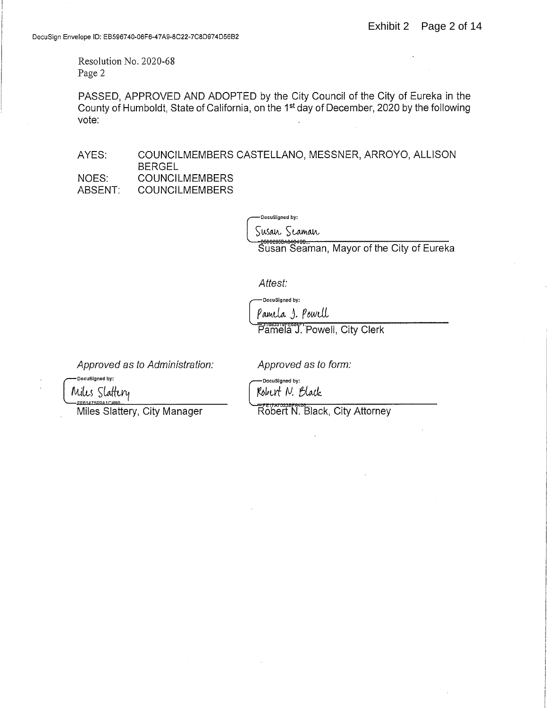Resolution No. 2020-68 Page 2

PASSED, APPROVED AND ADOPTED by the City Council of the City of Eureka in the County of Humboldt, State of California, on the 1<sup>st</sup> day of December, 2020 by the following vote:

AYES: COUNCILMEMBERS CASTELLANO, MESSNER, ARROYO, ALLISON **BERGEL** NOES: **COUNCILMEMBERS** ABSENT: **COUNCILMEMBERS** 

DocuSigned by:

Susan Seaman

-B5002050A04040B...<br>Susan Seaman, Mayor of the City of Eureka

Attest:

DocuSigned by:

Pamela 1. Powell

Pamela J. Powell, City Clerk

Approved as to Administration:

Approved as to form:

.<br>DocuSigned by:

DocuSigned by: Robert N. Black

Robert N. Black, City Attorney

Miles Slattery EF61475E9A1C4B0

Miles Slattery, City Manager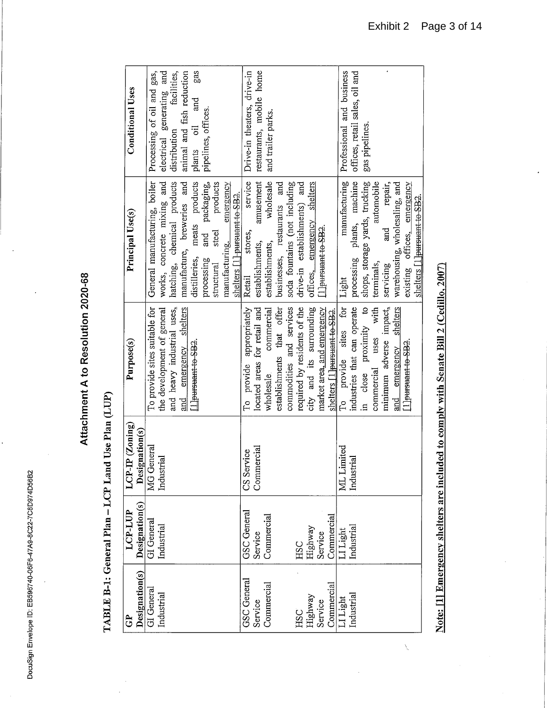DocuSign Envelope ID: EB596740-06F6-47A9-8C22-7C8D974D56B2

 $\ddot{\phantom{0}}$ 

 $\cdot$ 

# Attachment A to Resolution 2020-68

# TABLE B-1: General Plan - LCP Land Use Plan (LUP)

|               | <b>Conditional Uses</b>             | Processing of oil and gas,    |                            | electrical generating and<br>distribution facilities,<br>animal and fish reduction |                            | gas<br>and<br>plants oil     | pipelines, offices.          |                                 |                             |                               | Drive-in theaters, drive-in<br>service | restaurants, mobile home     | and trailer parks.           |                             |                               |                              |                             |                            |                               | Professional and business | offices, retail sales, oil and | gas pipelines.                 |                          | repair,                 |                               |                             |                               |
|---------------|-------------------------------------|-------------------------------|----------------------------|------------------------------------------------------------------------------------|----------------------------|------------------------------|------------------------------|---------------------------------|-----------------------------|-------------------------------|----------------------------------------|------------------------------|------------------------------|-----------------------------|-------------------------------|------------------------------|-----------------------------|----------------------------|-------------------------------|---------------------------|--------------------------------|--------------------------------|--------------------------|-------------------------|-------------------------------|-----------------------------|-------------------------------|
|               | Principal Use(s)                    | General manufacturing, boiler | works, concrete mixing and | hatching, chemical products                                                        | manufacture, breweries and | distilleries, meats products | and packaging,<br>processing | products<br>steel<br>structural | emergency<br>manufacturing. | shelters [1] pursuant to SB2. | stores,<br>Retail                      | amusement<br>establishments, | wholesale<br>establishments, | businesses, restaurants and | soda fountains (not including | drive-in establishments) and | offices, emergency shelters | Lleursuant to SB2.         |                               | manufacturing<br>Light    | processing plants, machine     | shops, storage yards, trucking | automobile<br>terminals, | and<br>servicing        | warehousing, wholesaling, and | existing offices, emergency | shelters [1] pursuant to SB2. |
| $\frac{1}{2}$ | Purpose(s)                          | To provide sites suitable for | the development of general | and heavy industrial uses,                                                         | and emergency shelters     | LI pursuant to SB2.          |                              |                                 |                             |                               | To provide appropriately               | located areas for retail and | commercial<br>wholesale.     | establishments that offer   | commodities and services      | required by residents of the | city and its surrounding    | market area, and emergency | shelters [1] pursuant to SB2. | To provide sites for      | industries that can operate    | in close proximity to          | commercial uses with     | minimum adverse impact, | and emergency shelters        | Llpursuant to SB2.          |                               |
|               | $LCP-IP$ (Zoning)<br>Designation(s) | MG General                    | Industrial                 |                                                                                    |                            |                              |                              |                                 |                             |                               | CS Service                             | Commercial                   |                              |                             |                               |                              |                             |                            |                               | ML Limited                | Industrial                     |                                |                          |                         |                               |                             |                               |
|               | Designation(s)<br>LCP-LUP           | GI General                    | Industrial                 |                                                                                    |                            |                              |                              |                                 |                             |                               | <b>GSC</b> General                     | Service                      | Commercial                   |                             |                               |                              | HSC<br>Highway<br>Service   |                            | Commercial                    | LI Light                  | Industrial                     |                                |                          |                         |                               |                             |                               |
|               | Designation(s)<br>සි                | GI General                    | Industrial                 |                                                                                    |                            |                              |                              |                                 |                             |                               | <b>GSC</b> General                     | Service                      | Commercial                   |                             |                               | <b>HSC</b>                   | Highway<br>Service          |                            | Commercial                    | LI Light<br>Industrial    |                                |                                |                          |                         |                               |                             |                               |

Note: [1] Emergency shelters are included to comply with Senate Bill 2 (Cedillo, 2007)

 $\sqrt{2}$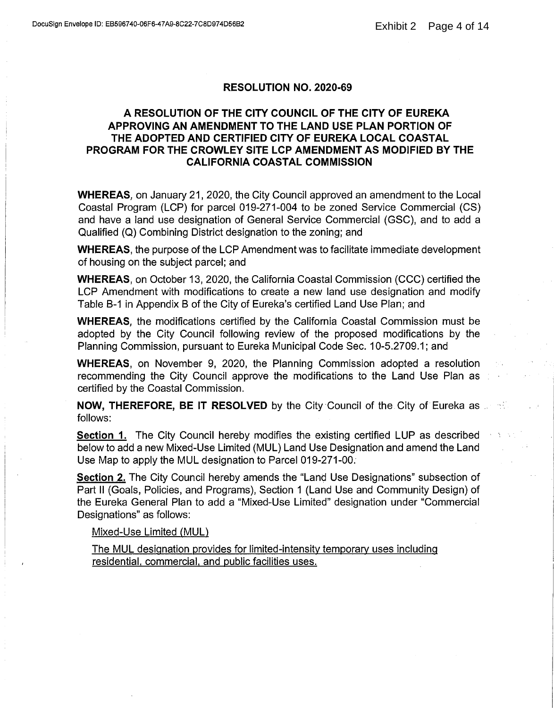### **RESOLUTION NO. 2020-69**

### A RESOLUTION OF THE CITY COUNCIL OF THE CITY OF EUREKA APPROVING AN AMENDMENT TO THE LAND USE PLAN PORTION OF THE ADOPTED AND CERTIFIED CITY OF EUREKA LOCAL COASTAL PROGRAM FOR THE CROWLEY SITE LCP AMENDMENT AS MODIFIED BY THE **CALIFORNIA COASTAL COMMISSION**

**WHEREAS.** on January 21, 2020, the City Council approved an amendment to the Local Coastal Program (LCP) for parcel 019-271-004 to be zoned Service Commercial (CS) and have a land use designation of General Service Commercial (GSC), and to add a Qualified (Q) Combining District designation to the zoning; and

**WHEREAS, the purpose of the LCP Amendment was to facilitate immediate development** of housing on the subject parcel; and

**WHEREAS, on October 13, 2020, the California Coastal Commission (CCC) certified the** LCP Amendment with modifications to create a new land use designation and modify Table B-1 in Appendix B of the City of Eureka's certified Land Use Plan; and

**WHEREAS**, the modifications certified by the California Coastal Commission must be adopted by the City Council following review of the proposed modifications by the Planning Commission, pursuant to Eureka Municipal Code Sec. 10-5.2709.1; and

**WHEREAS, on November 9, 2020, the Planning Commission adopted a resolution** recommending the City Council approve the modifications to the Land Use Plan as certified by the Coastal Commission.

**NOW, THEREFORE, BE IT RESOLVED** by the City Council of the City of Eureka as a state follows:

**Section 1.** The City Council hereby modifies the existing certified LUP as described below to add a new Mixed-Use Limited (MUL) Land Use Designation and amend the Land Use Map to apply the MUL designation to Parcel 019-271-00.

Section 2. The City Council hereby amends the "Land Use Designations" subsection of Part II (Goals, Policies, and Programs), Section 1 (Land Use and Community Design) of the Eureka General Plan to add a "Mixed-Use Limited" designation under "Commercial Designations" as follows:

### Mixed-Use Limited (MUL)

The MUL designation provides for limited-intensity temporary uses including residential, commercial, and public facilities uses.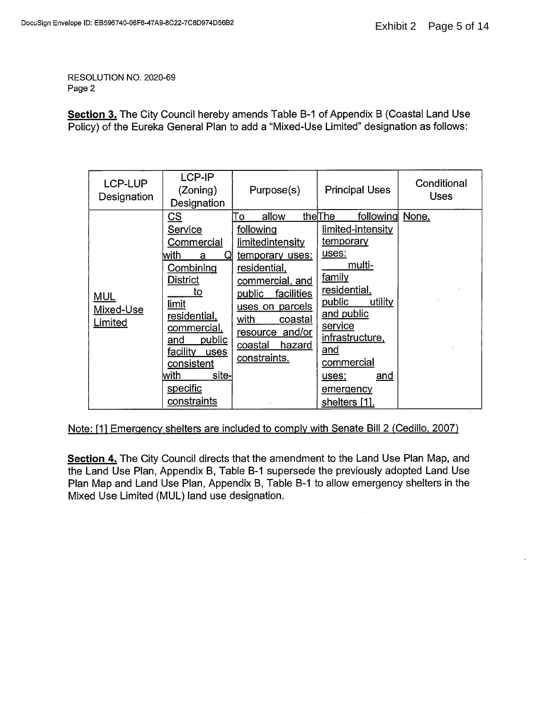RESOLUTION NO. 2020-69 Page 2

Section 3. The City Council hereby amends Table B-1 of Appendix B (Coastal Land Use Policy) of the Eureka General Plan to add a "Mixed-Use Limited" designation as follows:

| LCP-LUP<br>Designation             | LCP-IP<br>(Zoning)<br>Designation                                                                                                                                                                                                                       | Purpose(s)                                                                                                                                                                                                                             | <b>Principal Uses</b>                                                                                                                                                                                                                         | Conditional<br><b>Uses</b> |
|------------------------------------|---------------------------------------------------------------------------------------------------------------------------------------------------------------------------------------------------------------------------------------------------------|----------------------------------------------------------------------------------------------------------------------------------------------------------------------------------------------------------------------------------------|-----------------------------------------------------------------------------------------------------------------------------------------------------------------------------------------------------------------------------------------------|----------------------------|
| <b>MUL</b><br>Mixed-Use<br>Limited | <u>cs</u><br>Service<br><u>Commercial</u><br>with<br>Q<br>a<br>Combining<br><b>District</b><br>to<br>limit<br>residential,<br>commercial,<br>public<br>and<br><u>faci</u> litv<br>uses<br>consistent<br>with<br>site-<br>specific<br><u>constraints</u> | allow<br>То<br>following<br>limitedintensity<br>temporary uses:<br>residential,<br>commercial, and<br>facilities<br>public<br>uses on parcels<br>with<br>coastal<br>resource and/or<br><u>hazard</u><br><u>coastal</u><br>constraints. | following<br>theThe<br>limited-intensity<br>temporary<br>uses:<br>multi-<br>family<br>residential,<br>public<br>utility<br>and public<br>service<br>infrastructure,<br>and<br>commercial<br><u>and</u><br>uses;<br>emergency<br>shelters [1]. | None.                      |

Note: [1] Emergency shelters are included to comply with Senate Bill 2 (Cedillo, 2007)

Section 4. The City Council directs that the amendment to the Land Use Plan Map, and the Land Use Plan, Appendix B, Table B-1 supersede the previously adopted Land Use Plan Map and Land Use Plan, Appendix B, Table B-1 to allow emergency shelters in the Mixed Use Limited (MUL) land use designation.

 $\sim$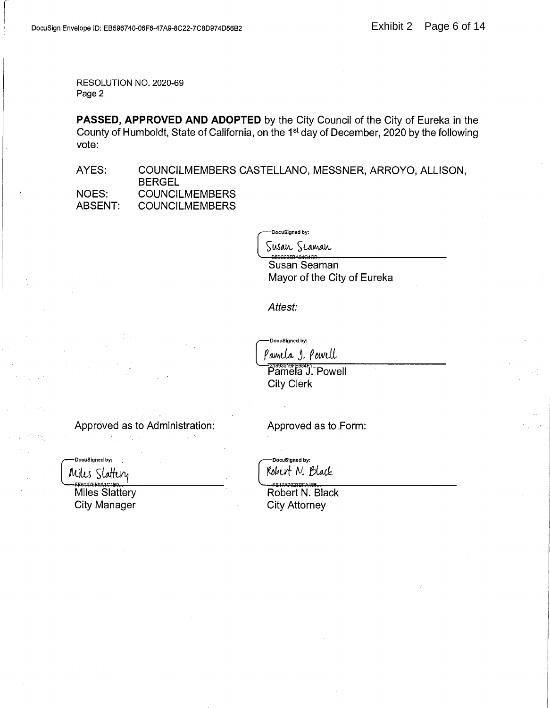RESOLUTION NO. 2020-69 Page 2

PASSED, APPROVED AND ADOPTED by the City Council of the City of Eureka in the County of Humboldt, State of California, on the 1<sup>st</sup> day of December, 2020 by the following vote:

AYES: COUNCILMEMBERS CASTELLANO, MESSNER, ARROYO, ALLISON, **BERGEL** NOES: **COUNCILMEMBERS** ABSENT: **COUNCILMEMBERS** 

-DocuSigned by:

Susan Seaman  $\sum_{i=1}^{n} a_i = a_i = a_i = a_i = a_i$ 

Susan Seaman Mayor of the City of Eureka

Attest:

DocuSigned by:

Pamela S. Powell

**Pamela J. Powell City Clerk** 

Approved as to Administration:

**Contract Street** 

-DocuSigned by:

Miles Slattery

Miles Slattery **City Manager** 

Approved as to Form:

-DocuSigned by: Robert N. Black

==17A7023BFA486 Robert N. Black **City Attorney**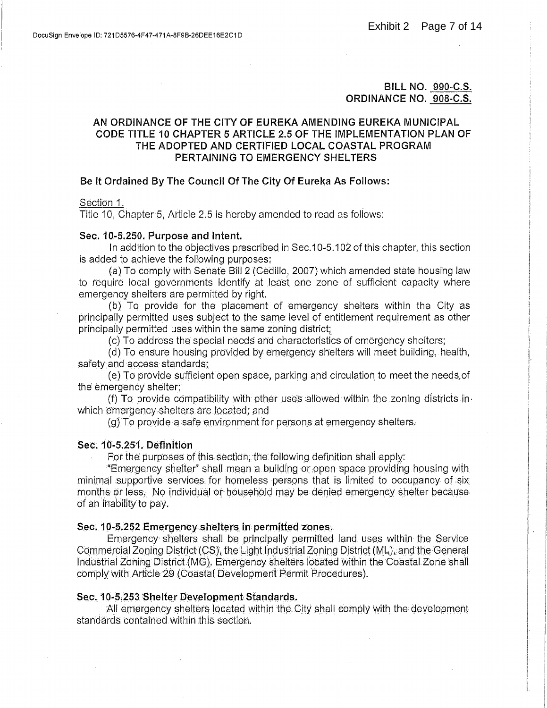**BILL NO. 990-C.S.** ORDINANCE NO. 908-C.S.

### AN ORDINANCE OF THE CITY OF EUREKA AMENDING EUREKA MUNICIPAL CODE TITLE 10 CHAPTER 5 ARTICLE 2.5 OF THE IMPLEMENTATION PLAN OF THE ADOPTED AND CERTIFIED LOCAL COASTAL PROGRAM PERTAINING TO EMERGENCY SHELTERS

### Be It Ordained By The Council Of The City Of Eureka As Follows:

Section 1.

Title 10. Chapter 5. Article 2.5 is hereby amended to read as follows:

### Sec. 10-5.250. Purpose and Intent.

In addition to the objectives prescribed in Sec.10-5.102 of this chapter, this section is added to achieve the following purposes:

(a) To comply with Senate Bill 2 (Cedillo, 2007) which amended state housing law to require local governments identify at least one zone of sufficient capacity where emergency shelters are permitted by right.

(b) To provide for the placement of emergency shelters within the City as principally permitted uses subject to the same level of entitlement requirement as other principally permitted uses within the same zoning district;

(c) To address the special needs and characteristics of emergency shelters;

(d) To ensure housing provided by emergency shelters will meet building, health, safety and access standards;

(e) To provide sufficient open space, parking and circulation to meet the needs of the emergency shelter:

(f) To provide compatibility with other uses allowed within the zoning districts in which emergency shelters are located; and

(g) To provide a safe environment for persons at emergency shelters.

### Sec. 10-5.251. Definition

For the purposes of this section, the following definition shall apply:

"Emergency shelter" shall mean a building or open space providing housing with minimal supportive services for homeless persons that is limited to occupancy of six months or less. No individual or household may be denied emergency shelter because of an inability to pay.

### Sec. 10-5.252 Emergency shelters in permitted zones.

Emergency shelters shall be principally permitted land uses within the Service Commercial Zoning District (CS), the Light Industrial Zoning District (ML), and the General Industrial Zoning District (MG). Emergency shelters located within the Coastal Zone shall comply with Article 29 (Coastal Development Permit Procedures).

### Sec. 10-5.253 Shelter Development Standards.

All emergency shelters located within the City shall comply with the development standards contained within this section.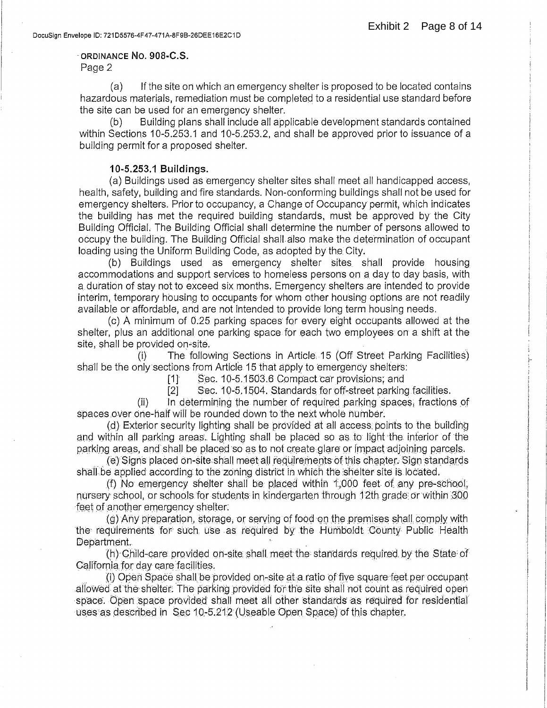### ORDINANCE NO. 908-C.S.

Page 2

 $(a)$ If the site on which an emergency shelter is proposed to be located contains hazardous materials, remediation must be completed to a residential use standard before the site can be used for an emergency shelter.

Building plans shall include all applicable development standards contained  $(b)$ within Sections 10-5.253.1 and 10-5.253.2, and shall be approved prior to issuance of a building permit for a proposed shelter.

### 10-5,253.1 Buildings.

(a) Buildings used as emergency shelter sites shall meet all handicapped access. health, safety, building and fire standards. Non-conforming buildings shall not be used for emergency shelters. Prior to occupancy, a Change of Occupancy permit, which indicates the building has met the required building standards, must be approved by the City Building Official. The Building Official shall determine the number of persons allowed to occupy the building. The Building Official shall also make the determination of occupant loading using the Uniform Building Code, as adopted by the City.

(b) Buildings used as emergency shelter sites shall provide housing accommodations and support services to homeless persons on a day to day basis, with a duration of stay not to exceed six months. Emergency shelters are intended to provide interim, temporary housing to occupants for whom other housing options are not readily available or affordable, and are not intended to provide long term housing needs.

(c) A minimum of 0.25 parking spaces for every eight occupants allowed at the shelter, plus an additional one parking space for each two employees on a shift at the site, shall be provided on-site.

The following Sections in Article 15 (Off Street Parking Facilities)  $\left($ i $\right)$ shall be the only sections from Article 15 that apply to emergency shelters:

> Sec. 10-5.1503.6 Compact car provisions; and  $\lceil 1 \rceil$

 $\lceil 2 \rceil$ Sec. 10-5,1504. Standards for off-street parking facilities.

In determining the number of required parking spaces, fractions of  $(ii)$ spaces over one-half will be rounded down to the next whole number.

(d) Exterior security lighting shall be provided at all access points to the building and within all parking areas. Lighting shall be placed so as to light the interior of the parking areas, and shall be placed so as to not create glare or impact adjoining parcels.

(e) Signs placed on-site shall meet all requirements of this chapter. Sign standards shall be applied according to the zoning district in which the shelter site is located.

(f) No emergency shelter shall be placed within 1,000 feet of any pre-school. nursery school, or schools for students in kindergarten through 12th grade or within 300 feet of another emergency shelter.

(g) Any preparation, storage, or serving of food on the premises shall comply with the requirements for such use as required by the Humboldt County Public Health Department.

(h) Child-care provided on-site shall meet the standards required by the State of California for day care facilities.

(i) Open Space shall be provided on-site at a ratio of five square feet per occupant allowed at the shelter. The parking provided for the site shall not count as required open space. Open space provided shall meet all other standards as required for residential uses as described in Sec 10-5.212 (Useable Open Space) of this chapter.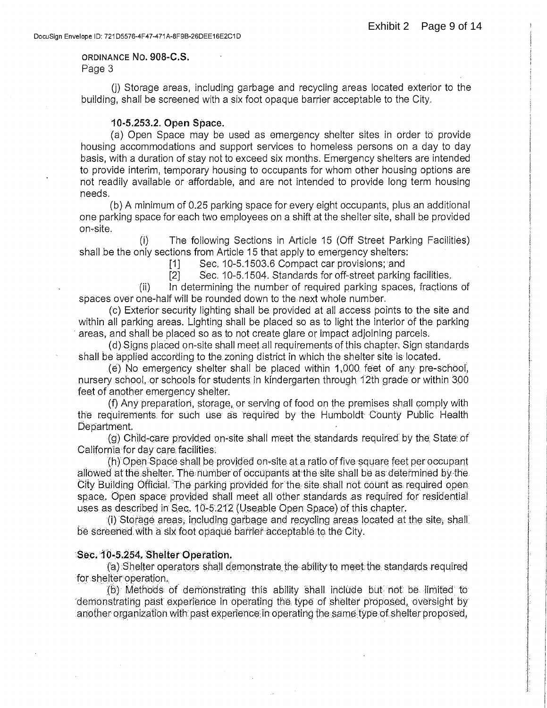# ORDINANCE NO. 908-C.S.

Page 3

(i) Storage areas, including garbage and recycling areas located exterior to the building, shall be screened with a six foot opaque barrier acceptable to the City.

### 10-5.253.2. Open Space.

(a) Open Space may be used as emergency shelter sites in order to provide housing accommodations and support services to homeless persons on a day to day basis, with a duration of stay not to exceed six months. Emergency shelters are intended to provide interim, temporary housing to occupants for whom other housing options are not readily available or affordable, and are not intended to provide long term housing needs.

(b) A minimum of 0.25 parking space for every eight occupants, plus an additional one parking space for each two employees on a shift at the shelter site, shall be provided on-site.

The following Sections in Article 15 (Off Street Parking Facilities)  $(i)$ shall be the only sections from Article 15 that apply to emergency shelters:

Sec. 10-5.1503.6 Compact car provisions; and  $[1]$ 

 $\lceil 2 \rceil$ Sec. 10-5.1504. Standards for off-street parking facilities.

In determining the number of required parking spaces, fractions of  $(ii)$ spaces over one-half will be rounded down to the next whole number.

(c) Exterior security lighting shall be provided at all access points to the site and within all parking areas. Lighting shall be placed so as to light the interior of the parking areas, and shall be placed so as to not create glare or impact adjoining parcels.

(d) Signs placed on-site shall meet all requirements of this chapter. Sign standards shall be applied according to the zoning district in which the shelter site is located.

(e) No emergency shelter shall be placed within 1,000 feet of any pre-school, nursery school, or schools for students in kindergarten through 12th grade or within 300 feet of another emergency shelter.

(f) Any preparation, storage, or serving of food on the premises shall comply with the requirements for such use as required by the Humboldt County Public Health Department.

(g) Child-care provided on-site shall meet the standards required by the State of California for day care facilities.

(h) Open Space shall be provided on-site at a ratio of five square feet per occupant allowed at the shelter. The number of occupants at the site shall be as determined by the City Building Official. The parking provided for the site shall not count as required open. space. Open space provided shall meet all other standards as required for residential uses as described in Sec. 10-5.212 (Useable Open Space) of this chapter.

(i) Storage areas, including garbage and recycling areas located at the site, shall be screened with a six foot opaque barrier acceptable to the City.

### Sec. 10-5.254. Shelter Operation.

(a) Shelter operators shall demonstrate the ability to meet the standards required for shelter operation.

(b) Methods of demonstrating this ability shall include but not be limited to demonstrating past experience in operating the type of shelter proposed, oversight by another organization with past experience in operating the same type of shelter proposed,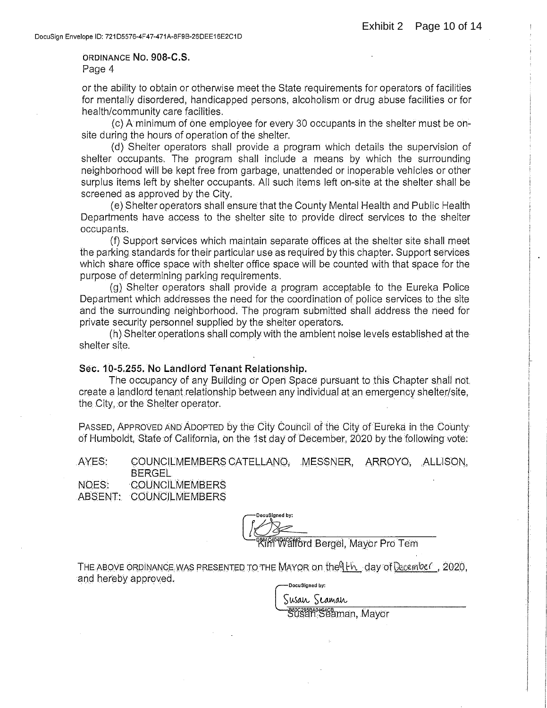### ORDINANCE NO. 908-C.S. Page 4

or the ability to obtain or otherwise meet the State requirements for operators of facilities for mentally disordered, handicapped persons, alcoholism or drug abuse facilities or for health/community care facilities.

(c) A minimum of one employee for every 30 occupants in the shelter must be onsite during the hours of operation of the shelter.

(d) Shelter operators shall provide a program which details the supervision of shelter occupants. The program shall include a means by which the surrounding neighborhood will be kept free from garbage, unattended or inoperable vehicles or other surplus items left by shelter occupants. All such items left on-site at the shelter shall be screened as approved by the City.

(e) Shelter operators shall ensure that the County Mental Health and Public Health Departments have access to the shelter site to provide direct services to the shelter occupants.

(f) Support services which maintain separate offices at the shelter site shall meet the parking standards for their particular use as required by this chapter. Support services which share office space with shelter office space will be counted with that space for the purpose of determining parking requirements.

(g) Shelter operators shall provide a program acceptable to the Eureka Police Department which addresses the need for the coordination of police services to the site and the surrounding neighborhood. The program submitted shall address the need for private security personnel supplied by the shelter operators.

(h) Shelter operations shall comply with the ambient noise levels established at the shelter site.

### Sec. 10-5.255. No Landford Tenant Relationship.

The occupancy of any Building or Open Space pursuant to this Chapter shall not. create a landlord tenant relationship between any individual at an emergency shelter/site. the City, or the Shelter operator.

PASSED, APPROVED AND ADOPTED by the City Council of the City of Eureka in the County of Humboldt, State of California, on the 1st day of December, 2020 by the following vote:

AYES: COUNCILMEMBERS CATELLANO. MESSNER. ARROYO. ALLISON. **BERGEL** NOES: **COUNCILMEMBERS** 

ABSENT: COUNCILMEMBERS

DocuSianed by: ∜afford Bergel, Mayor Pro Tem

THE ABOVE ORDINANCE WAS PRESENTED TO THE MAYOR on the Ith day of December , 2020, and hereby approved. DocuSigned by:

Susan Seaman

sezas agus 1846annan, Mayor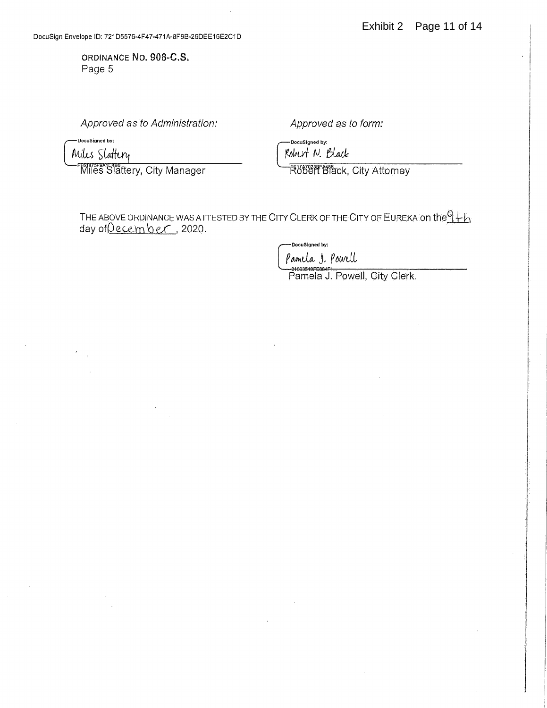ORDINANCE NO. 908-C.S. Page 5

Approved as to Administration:

-DocuSigned by: Miles Slattery

**Miles Slattery, City Manager** 

Approved as to form:

DocuSigned by: Robert N. Black

**Röber Black, City Attorney** 

THE ABOVE ORDINANCE WAS ATTESTED BY THE CITY CLERK OF THE CITY OF EUREKA ON the  $9 + b$ <br>day of <u>Qecember</u>, 2020.

DocuSigned by:

Pamela 1. Powell

Pamela J. Powell, City Clerk.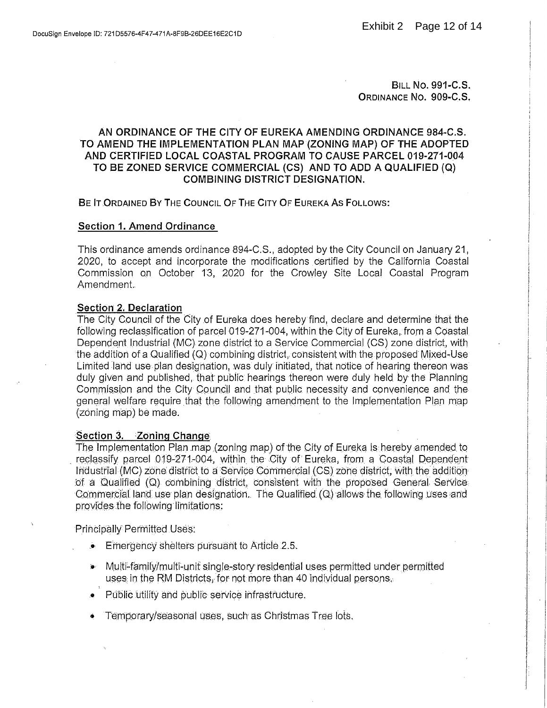**BILL NO. 991-C.S.** ORDINANCE No. 909-C.S.

### AN ORDINANCE OF THE CITY OF EUREKA AMENDING ORDINANCE 984-C.S. TO AMEND THE IMPLEMENTATION PLAN MAP (ZONING MAP) OF THE ADOPTED AND CERTIFIED LOCAL COASTAL PROGRAM TO CAUSE PARCEL 019-271-004 TO BE ZONED SERVICE COMMERCIAL (CS) AND TO ADD A QUALIFIED (Q) **COMBINING DISTRICT DESIGNATION.**

BE IT ORDAINED BY THE COUNCIL OF THE CITY OF EUREKA AS FOLLOWS:

### **Section 1. Amend Ordinance**

This ordinance amends ordinance 894-C.S., adopted by the City Council on January 21, 2020, to accept and incorporate the modifications certified by the California Coastal Commission on October 13, 2020 for the Crowley Site Local Coastal Program Amendment.

### Section 2. Declaration

The City Council of the City of Eureka does hereby find, declare and determine that the following reclassification of parcel 019-271-004, within the City of Eureka, from a Coastal Dependent Industrial (MC) zone district to a Service Commercial (CS) zone district, with the addition of a Qualified (Q) combining district, consistent with the proposed Mixed-Use Limited land use plan designation, was duly initiated, that notice of hearing thereon was duly given and published, that public hearings thereon were duly held by the Planning Commission and the City Council and that public necessity and convenience and the general welfare require that the following amendment to the Implementation Plan map (zoning map) be made.

### Section 3. Zoning Change

The Implementation Plan map (zoning map) of the City of Eureka is hereby amended to reclassify parcel 019-271-004, within the City of Eureka, from a Coastal Dependent Industrial (MC) zone district to a Service Commercial (CS) zone district, with the addition of a Qualified (Q) combining district, consistent with the proposed General Service. Commercial land use plan designation. The Qualified (Q) allows the following uses and provides the following limitations:

Principally Permitted Uses:

- $\bullet$  Emergency shelters pursuant to Article 2.5.
- Multi-family/multi-unit single-story residential uses permitted under permitted uses in the RM Districts, for not more than 40 individual persons.
- Public utility and public service infrastructure.
- Temporary/seasonal uses, such as Christmas Tree lots.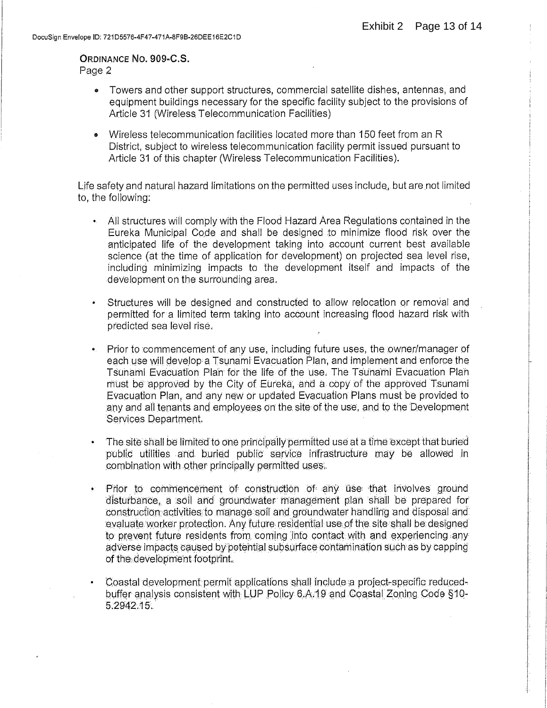# ORDINANCE NO. 909-C.S.

Page 2

- Towers and other support structures, commercial satellite dishes, antennas, and equipment buildings necessary for the specific facility subject to the provisions of Article 31 (Wireless Telecommunication Facilities)
- Wireless telecommunication facilities located more than 150 feet from an R District, subject to wireless telecommunication facility permit issued pursuant to Article 31 of this chapter (Wireless Telecommunication Facilities).

Life safety and natural hazard limitations on the permitted uses include, but are not limited to, the following:

- All structures will comply with the Flood Hazard Area Regulations contained in the Eureka Municipal Code and shall be designed to minimize flood risk over the anticipated life of the development taking into account current best available science (at the time of application for development) on projected sea level rise, including minimizing impacts to the development itself and impacts of the development on the surrounding area.
- Structures will be designed and constructed to allow relocation or removal and permitted for a limited term taking into account increasing flood hazard risk with predicted sea level rise.
- Prior to commencement of any use, including future uses, the owner/manager of each use will develop a Tsunami Evacuation Plan, and implement and enforce the Tsunami Evacuation Plan for the life of the use. The Tsunami Evacuation Plan must be approved by the City of Eureka, and a copy of the approved Tsunami Evacuation Plan, and any new or updated Evacuation Plans must be provided to any and all tenants and employees on the site of the use, and to the Development Services Department.
- The site shall be limited to one principally permitted use at a time except that buried public utilities and buried public service infrastructure may be allowed in combination with other principally permitted uses.
- Prior to commencement of construction of any use that involves ground  $\bullet$ disturbance, a soil and groundwater management plan shall be prepared for construction activities to manage soil and groundwater handling and disposal and evaluate worker protection. Any future residential use of the site shall be designed to prevent future residents from coming into contact with and experiencing any adverse impacts caused by potential subsurface contamination such as by capping of the development footprint.
- Coastal development permit applications shall include a project-specific reducedbuffer analysis consistent with LUP Policy 6.A.19 and Coastal Zoning Code §10-5.2942.15.